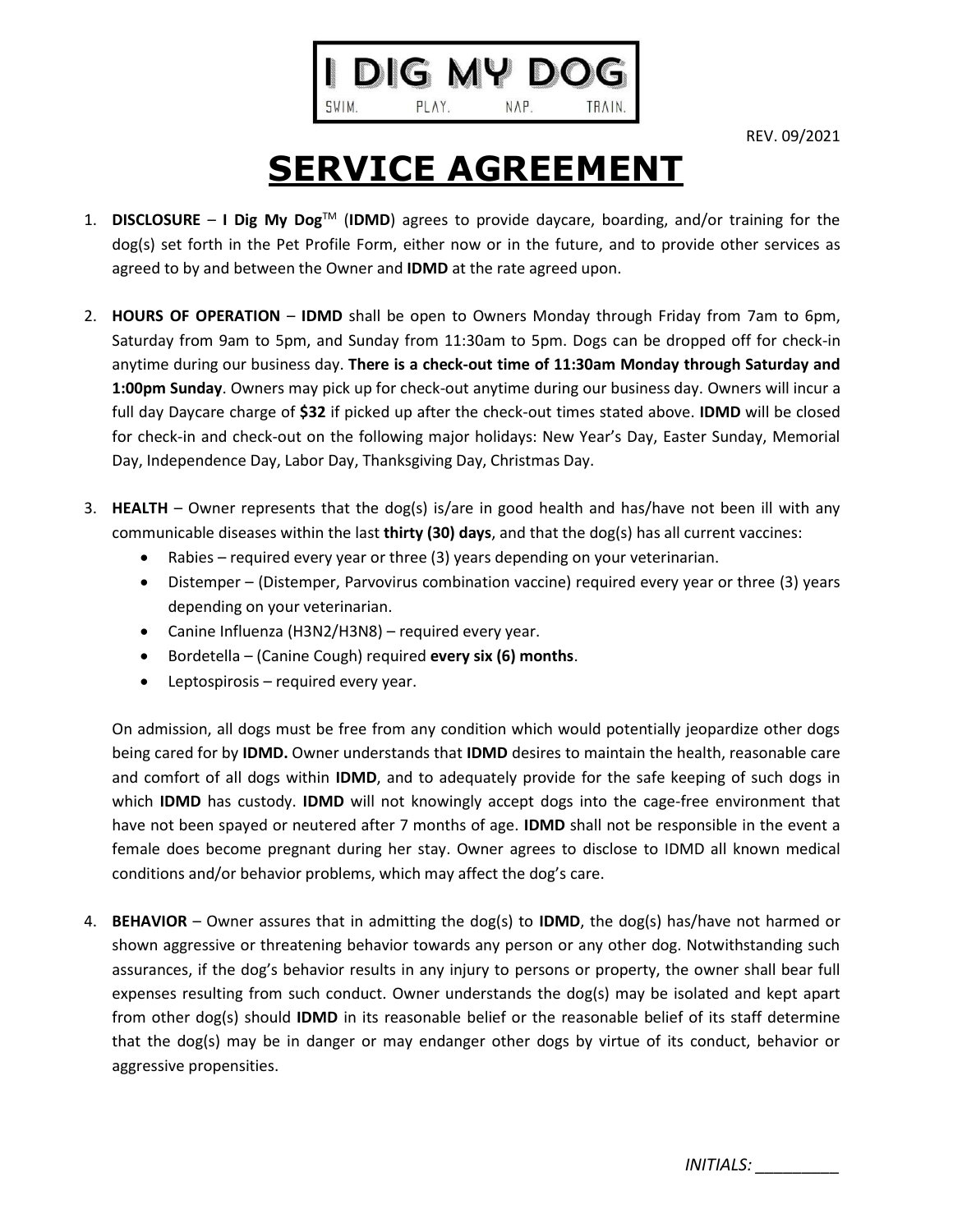

REV. 09/2021

## **SERVICE AGREEMENT**

- 1. **DISCLOSURE I Dig My Dog**TM (**IDMD**) agrees to provide daycare, boarding, and/or training for the dog(s) set forth in the Pet Profile Form, either now or in the future, and to provide other services as agreed to by and between the Owner and **IDMD** at the rate agreed upon.
- 2. **HOURS OF OPERATION IDMD** shall be open to Owners Monday through Friday from 7am to 6pm, Saturday from 9am to 5pm, and Sunday from 11:30am to 5pm. Dogs can be dropped off for check-in anytime during our business day. **There is a check-out time of 11:30am Monday through Saturday and 1:00pm Sunday**. Owners may pick up for check-out anytime during our business day. Owners will incur a full day Daycare charge of **\$32** if picked up after the check-out times stated above. **IDMD** will be closed for check-in and check-out on the following major holidays: New Year's Day, Easter Sunday, Memorial Day, Independence Day, Labor Day, Thanksgiving Day, Christmas Day.
- 3. **HEALTH** Owner represents that the dog(s) is/are in good health and has/have not been ill with any communicable diseases within the last **thirty (30) days**, and that the dog(s) has all current vaccines:
	- Rabies required every year or three (3) years depending on your veterinarian.
	- Distemper (Distemper, Parvovirus combination vaccine) required every year or three (3) years depending on your veterinarian.
	- Canine Influenza (H3N2/H3N8) required every year.
	- Bordetella (Canine Cough) required **every six (6) months**.
	- Leptospirosis required every year.

On admission, all dogs must be free from any condition which would potentially jeopardize other dogs being cared for by **IDMD.** Owner understands that **IDMD** desires to maintain the health, reasonable care and comfort of all dogs within **IDMD**, and to adequately provide for the safe keeping of such dogs in which **IDMD** has custody. **IDMD** will not knowingly accept dogs into the cage-free environment that have not been spayed or neutered after 7 months of age. **IDMD** shall not be responsible in the event a female does become pregnant during her stay. Owner agrees to disclose to IDMD all known medical conditions and/or behavior problems, which may affect the dog's care.

4. **BEHAVIOR** – Owner assures that in admitting the dog(s) to **IDMD**, the dog(s) has/have not harmed or shown aggressive or threatening behavior towards any person or any other dog. Notwithstanding such assurances, if the dog's behavior results in any injury to persons or property, the owner shall bear full expenses resulting from such conduct. Owner understands the dog(s) may be isolated and kept apart from other dog(s) should **IDMD** in its reasonable belief or the reasonable belief of its staff determine that the dog(s) may be in danger or may endanger other dogs by virtue of its conduct, behavior or aggressive propensities.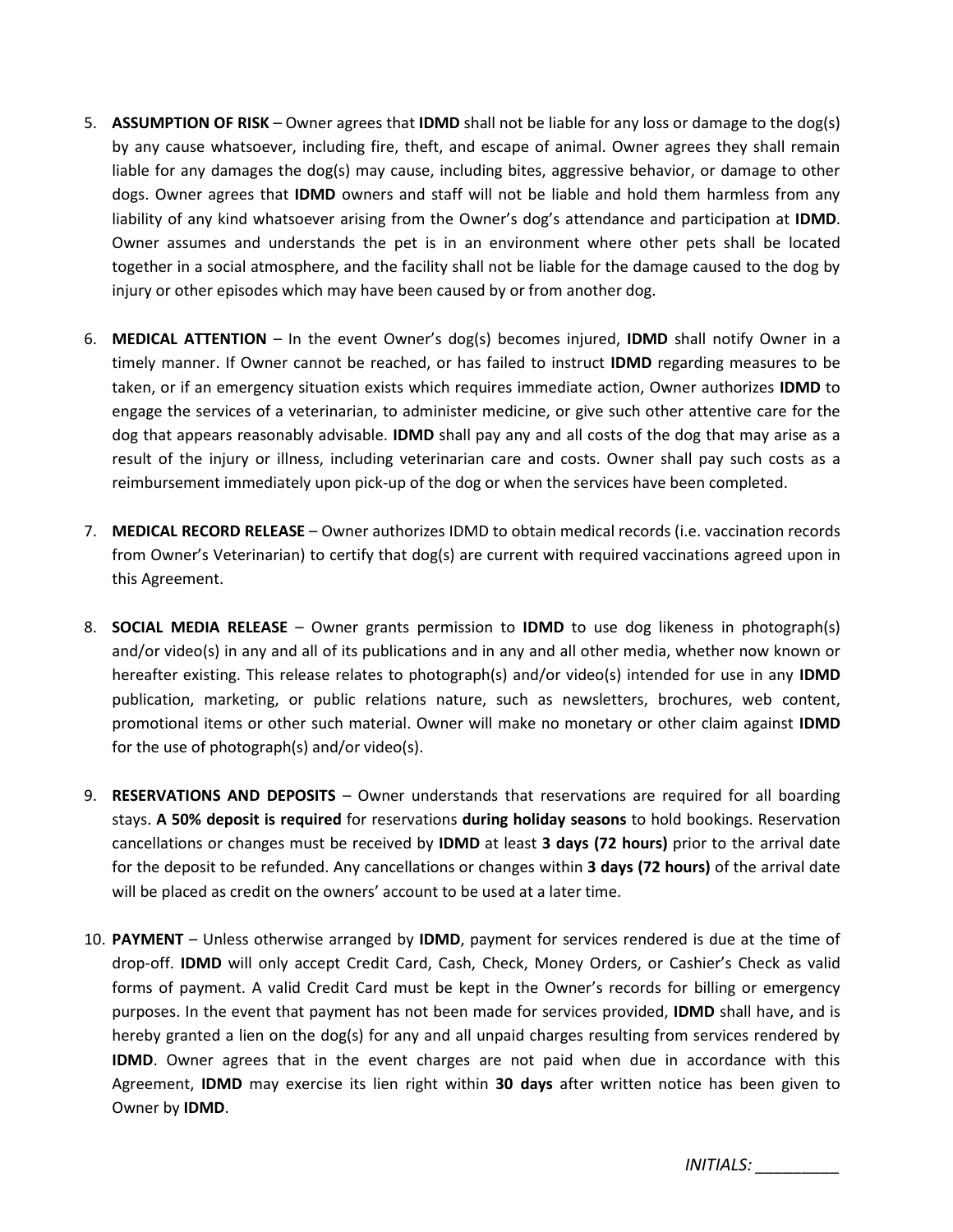- 5. **ASSUMPTION OF RISK** Owner agrees that **IDMD** shall not be liable for any loss or damage to the dog(s) by any cause whatsoever, including fire, theft, and escape of animal. Owner agrees they shall remain liable for any damages the dog(s) may cause, including bites, aggressive behavior, or damage to other dogs. Owner agrees that **IDMD** owners and staff will not be liable and hold them harmless from any liability of any kind whatsoever arising from the Owner's dog's attendance and participation at **IDMD**. Owner assumes and understands the pet is in an environment where other pets shall be located together in a social atmosphere, and the facility shall not be liable for the damage caused to the dog by injury or other episodes which may have been caused by or from another dog.
- 6. **MEDICAL ATTENTION** In the event Owner's dog(s) becomes injured, **IDMD** shall notify Owner in a timely manner. If Owner cannot be reached, or has failed to instruct **IDMD** regarding measures to be taken, or if an emergency situation exists which requires immediate action, Owner authorizes **IDMD** to engage the services of a veterinarian, to administer medicine, or give such other attentive care for the dog that appears reasonably advisable. **IDMD** shall pay any and all costs of the dog that may arise as a result of the injury or illness, including veterinarian care and costs. Owner shall pay such costs as a reimbursement immediately upon pick-up of the dog or when the services have been completed.
- 7. **MEDICAL RECORD RELEASE** Owner authorizes IDMD to obtain medical records (i.e. vaccination records from Owner's Veterinarian) to certify that dog(s) are current with required vaccinations agreed upon in this Agreement.
- 8. **SOCIAL MEDIA RELEASE** Owner grants permission to **IDMD** to use dog likeness in photograph(s) and/or video(s) in any and all of its publications and in any and all other media, whether now known or hereafter existing. This release relates to photograph(s) and/or video(s) intended for use in any **IDMD** publication, marketing, or public relations nature, such as newsletters, brochures, web content, promotional items or other such material. Owner will make no monetary or other claim against **IDMD** for the use of photograph(s) and/or video(s).
- 9. **RESERVATIONS AND DEPOSITS** Owner understands that reservations are required for all boarding stays. **A 50% deposit is required** for reservations **during holiday seasons** to hold bookings. Reservation cancellations or changes must be received by **IDMD** at least **3 days (72 hours)** prior to the arrival date for the deposit to be refunded. Any cancellations or changes within **3 days (72 hours)** of the arrival date will be placed as credit on the owners' account to be used at a later time.
- 10. **PAYMENT** Unless otherwise arranged by **IDMD**, payment for services rendered is due at the time of drop-off. **IDMD** will only accept Credit Card, Cash, Check, Money Orders, or Cashier's Check as valid forms of payment. A valid Credit Card must be kept in the Owner's records for billing or emergency purposes. In the event that payment has not been made for services provided, **IDMD** shall have, and is hereby granted a lien on the dog(s) for any and all unpaid charges resulting from services rendered by **IDMD**. Owner agrees that in the event charges are not paid when due in accordance with this Agreement, **IDMD** may exercise its lien right within **30 days** after written notice has been given to Owner by **IDMD**.